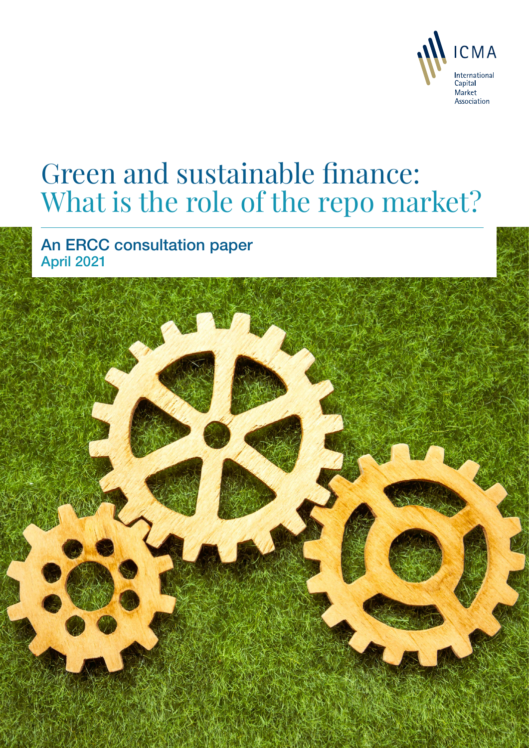

Green and sustainable finance: What is the report of the report of the report of the report of the report of the report of the report of the report of the report of the report of the report of the report of the report of t

# Green and sustainable finance: What is the role of the repo market?

An ERCC consultation paper April 2021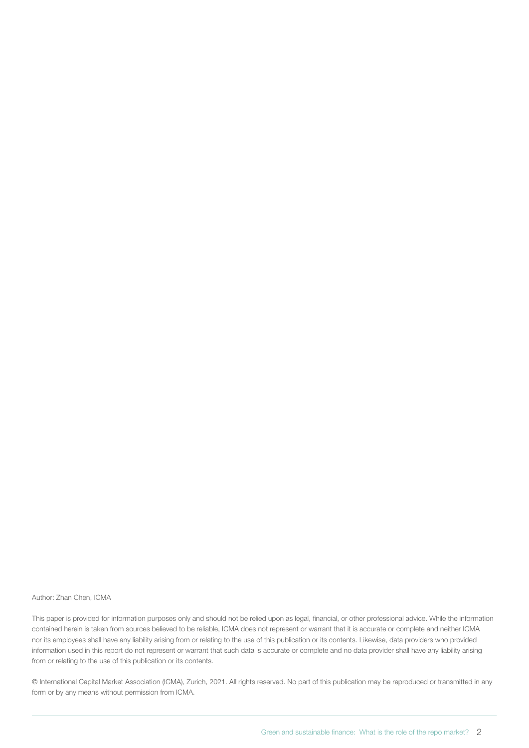#### Author: Zhan Chen, ICMA

This paper is provided for information purposes only and should not be relied upon as legal, financial, or other professional advice. While the information contained herein is taken from sources believed to be reliable, ICMA does not represent or warrant that it is accurate or complete and neither ICMA nor its employees shall have any liability arising from or relating to the use of this publication or its contents. Likewise, data providers who provided information used in this report do not represent or warrant that such data is accurate or complete and no data provider shall have any liability arising from or relating to the use of this publication or its contents.

© International Capital Market Association (ICMA), Zurich, 2021. All rights reserved. No part of this publication may be reproduced or transmitted in any form or by any means without permission from ICMA.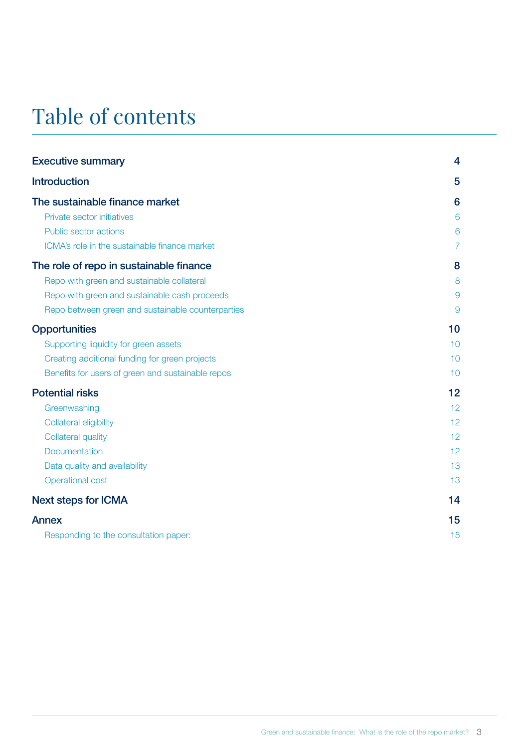## Table of contents

| <b>Executive summary</b>                          | 4  |
|---------------------------------------------------|----|
| <b>Introduction</b>                               | 5  |
| The sustainable finance market                    | 6  |
| Private sector initiatives                        | 6  |
| Public sector actions                             | 6  |
| ICMA's role in the sustainable finance market     |    |
| The role of repo in sustainable finance           | 8  |
| Repo with green and sustainable collateral        | 8  |
| Repo with green and sustainable cash proceeds     | 9  |
| Repo between green and sustainable counterparties | 9  |
| <b>Opportunities</b>                              | 10 |
| Supporting liquidity for green assets             | 10 |
| Creating additional funding for green projects    | 10 |
| Benefits for users of green and sustainable repos | 10 |
| <b>Potential risks</b>                            | 12 |
| Greenwashing                                      | 12 |
| Collateral eligibility                            | 12 |
| <b>Collateral quality</b>                         | 12 |
| Documentation                                     | 12 |
| Data quality and availability                     | 13 |
| Operational cost                                  | 13 |
| <b>Next steps for ICMA</b>                        | 14 |
| Annex                                             | 15 |
| Responding to the consultation paper:             | 15 |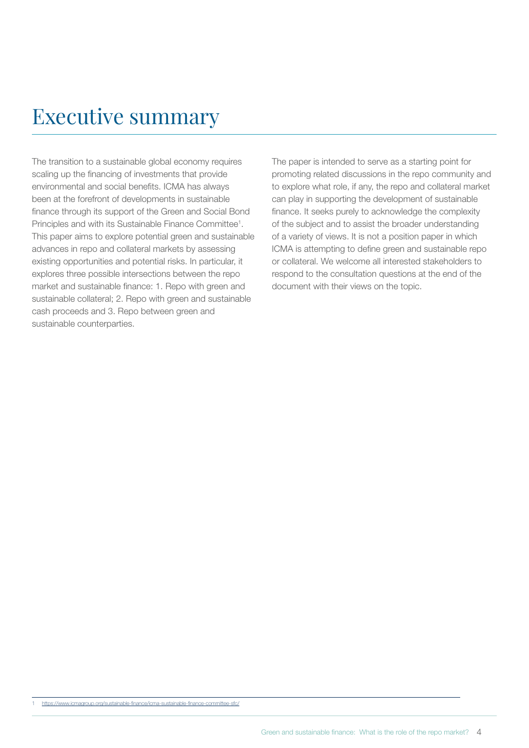## <span id="page-3-0"></span>Executive summary

The transition to a sustainable global economy requires scaling up the financing of investments that provide environmental and social benefits. ICMA has always been at the forefront of developments in sustainable finance through its support of the Green and Social Bond Principles and with its Sustainable Finance Committee<sup>1</sup>. This paper aims to explore potential green and sustainable advances in repo and collateral markets by assessing existing opportunities and potential risks. In particular, it explores three possible intersections between the repo market and sustainable finance: 1. Repo with green and sustainable collateral; 2. Repo with green and sustainable cash proceeds and 3. Repo between green and sustainable counterparties.

The paper is intended to serve as a starting point for promoting related discussions in the repo community and to explore what role, if any, the repo and collateral market can play in supporting the development of sustainable finance. It seeks purely to acknowledge the complexity of the subject and to assist the broader understanding of a variety of views. It is not a position paper in which ICMA is attempting to define green and sustainable repo or collateral. We welcome all interested stakeholders to respond to the consultation questions at the end of the document with their views on the topic.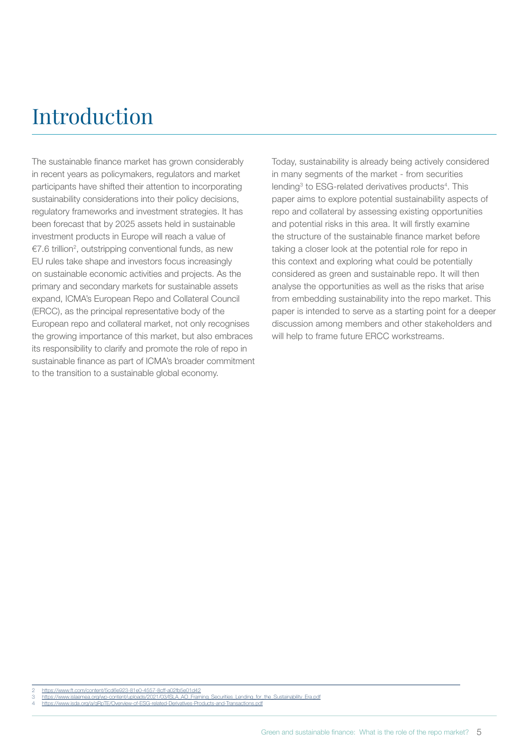## <span id="page-4-0"></span>Introduction

The sustainable finance market has grown considerably in recent years as policymakers, regulators and market participants have shifted their attention to incorporating sustainability considerations into their policy decisions, regulatory frameworks and investment strategies. It has been forecast that by 2025 assets held in sustainable investment products in Europe will reach a value of €7.6 trillion<sup>2</sup>, outstripping conventional funds, as new EU rules take shape and investors focus increasingly on sustainable economic activities and projects. As the primary and secondary markets for sustainable assets expand, ICMA's European Repo and Collateral Council (ERCC), as the principal representative body of the European repo and collateral market, not only recognises the growing importance of this market, but also embraces its responsibility to clarify and promote the role of repo in sustainable finance as part of ICMA's broader commitment to the transition to a sustainable global economy.

Today, sustainability is already being actively considered in many segments of the market - from securities lending<sup>3</sup> to ESG-related derivatives products<sup>4</sup>. This paper aims to explore potential sustainability aspects of repo and collateral by assessing existing opportunities and potential risks in this area. It will firstly examine the structure of the sustainable finance market before taking a closer look at the potential role for repo in this context and exploring what could be potentially considered as green and sustainable repo. It will then analyse the opportunities as well as the risks that arise from embedding sustainability into the repo market. This paper is intended to serve as a starting point for a deeper discussion among members and other stakeholders and will help to frame future ERCC workstreams.

2 <https://www.ft.com/content/5cd6e923-81e0-4557-8cff-a02fb5e01d42><br>3 https://www.islaemea.org/wn-content/uploads/2021/03/ISLA AO Fram

3 [https://www.islaemea.org/wp-content/uploads/2021/03/ISLA\\_AO\\_Framing\\_Securities\\_Lending\\_for\\_the\\_Sustainability\\_Era.pdf](https://www.islaemea.org/wp-content/uploads/2021/03/ISLA_AO_Framing_Securities_Lending_for_the_Sustainability_Era.pdf)<br>4 <https://www.isda.org/a/qRpTE/Overview-of-ESG-related-Derivatives-Products-and-Transactions.pdf>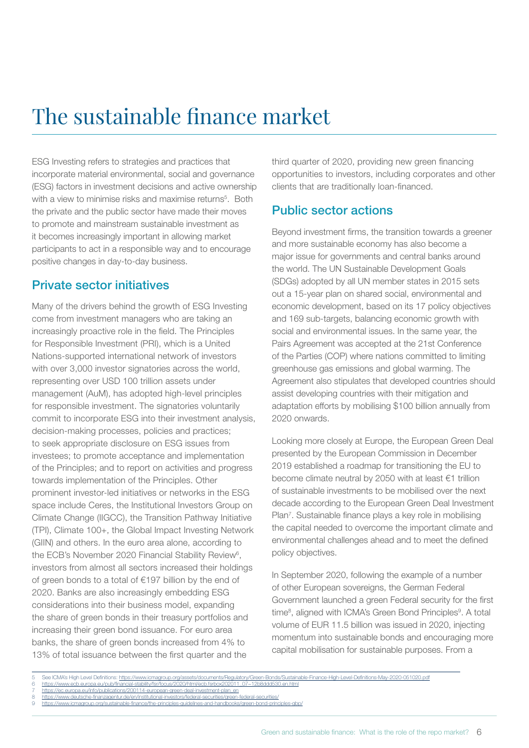## <span id="page-5-0"></span>The sustainable finance market

ESG Investing refers to strategies and practices that incorporate material environmental, social and governance (ESG) factors in investment decisions and active ownership with a view to minimise risks and maximise returns<sup>5</sup>. Both the private and the public sector have made their moves to promote and mainstream sustainable investment as it becomes increasingly important in allowing market participants to act in a responsible way and to encourage positive changes in day-to-day business.

### Private sector initiatives

Many of the drivers behind the growth of ESG Investing come from investment managers who are taking an increasingly proactive role in the field. The Principles for Responsible Investment (PRI), which is a United Nations-supported international network of investors with over 3,000 investor signatories across the world, representing over USD 100 trillion assets under management (AuM), has adopted high-level principles for responsible investment. The signatories voluntarily commit to incorporate ESG into their investment analysis, decision-making processes, policies and practices; to seek appropriate disclosure on ESG issues from investees; to promote acceptance and implementation of the Principles; and to report on activities and progress towards implementation of the Principles. Other prominent investor-led initiatives or networks in the ESG space include Ceres, the Institutional Investors Group on Climate Change (IIGCC), the Transition Pathway Initiative (TPI), Climate 100+, the Global Impact Investing Network (GIIN) and others. In the euro area alone, according to the ECB's November 2020 Financial Stability Review<sup>6</sup>, investors from almost all sectors increased their holdings of green bonds to a total of €197 billion by the end of 2020. Banks are also increasingly embedding ESG considerations into their business model, expanding the share of green bonds in their treasury portfolios and increasing their green bond issuance. For euro area banks, the share of green bonds increased from 4% to 13% of total issuance between the first quarter and the

third quarter of 2020, providing new green financing opportunities to investors, including corporates and other clients that are traditionally loan-financed.

## Public sector actions

Beyond investment firms, the transition towards a greener and more sustainable economy has also become a major issue for governments and central banks around the world. The UN Sustainable Development Goals (SDGs) adopted by all UN member states in 2015 sets out a 15-year plan on shared social, environmental and economic development, based on its 17 policy objectives and 169 sub-targets, balancing economic growth with social and environmental issues. In the same year, the Pairs Agreement was accepted at the 21st Conference of the Parties (COP) where nations committed to limiting greenhouse gas emissions and global warming. The Agreement also stipulates that developed countries should assist developing countries with their mitigation and adaptation efforts by mobilising \$100 billion annually from 2020 onwards.

Looking more closely at Europe, the European Green Deal presented by the European Commission in December 2019 established a roadmap for transitioning the EU to become climate neutral by 2050 with at least €1 trillion of sustainable investments to be mobilised over the next decade according to the European Green Deal Investment Plan<sup>7</sup>. Sustainable finance plays a key role in mobilising the capital needed to overcome the important climate and environmental challenges ahead and to meet the defined policy objectives.

In September 2020, following the example of a number of other European sovereigns, the German Federal Government launched a green Federal security for the first time<sup>8</sup>, aligned with ICMA's Green Bond Principles<sup>9</sup>. A total volume of EUR 11.5 billion was issued in 2020, injecting momentum into sustainable bonds and encouraging more capital mobilisation for sustainable purposes. From a

<sup>5</sup> See ICMA's High Level Definitions:<https://www.icmagroup.org/assets/documents/Regulatory/Green-Bonds/Sustainable-Finance-High-Level-Definitions-May-2020-051020.pdf> 6 [https://www.ecb.europa.eu/pub/financial-stability/fsr/focus/2020/html/ecb.fsrbox202011\\_07~12b8ddd530.en.html](https://www.ecb.europa.eu/pub/financial-stability/fsr/focus/2020/html/ecb.fsrbox202011_07~12b8ddd530.en.html)

<sup>7</sup> [https://ec.europa.eu/info/publications/200114-european-green-deal-investment-plan\\_en](https://ec.europa.eu/info/publications/200114-european-green-deal-investment-plan_en)<br>8 https://www.deutsche-finanzagentur.de/en/institutional-investors/federal-securities/green<https://www.deutsche-finanzagentur.de/en/institutional-investors/federal-securities/green-federal-securities/>

https://www.icmagroup.org/sustainable-finance/the-principle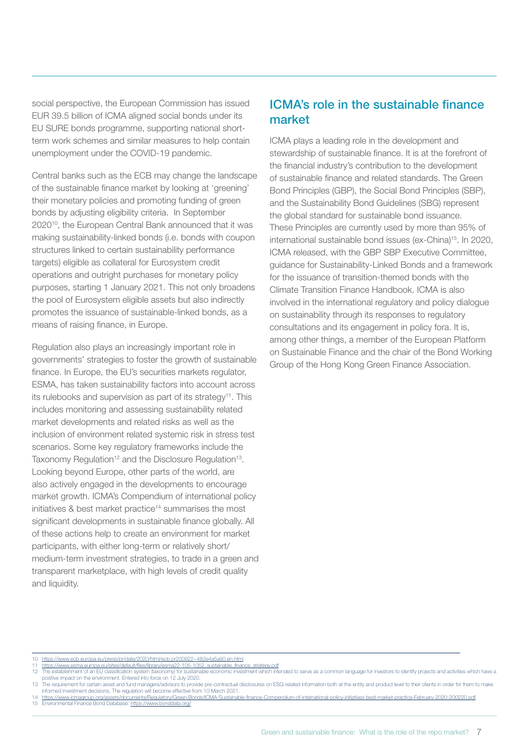<span id="page-6-0"></span>social perspective, the European Commission has issued EUR 39.5 billion of ICMA aligned social bonds under its EU SURE bonds programme, supporting national shortterm work schemes and similar measures to help contain unemployment under the COVID-19 pandemic.

Central banks such as the ECB may change the landscape of the sustainable finance market by looking at 'greening' their monetary policies and promoting funding of green bonds by adjusting eligibility criteria. In September 202010, the European Central Bank announced that it was making sustainability-linked bonds (i.e. bonds with coupon structures linked to certain sustainability performance targets) eligible as collateral for Eurosystem credit operations and outright purchases for monetary policy purposes, starting 1 January 2021. This not only broadens the pool of Eurosystem eligible assets but also indirectly promotes the issuance of sustainable-linked bonds, as a means of raising finance, in Europe.

Regulation also plays an increasingly important role in governments' strategies to foster the growth of sustainable finance. In Europe, the EU's securities markets regulator, ESMA, has taken sustainability factors into account across its rulebooks and supervision as part of its strategy<sup>11</sup>. This includes monitoring and assessing sustainability related market developments and related risks as well as the inclusion of environment related systemic risk in stress test scenarios. Some key regulatory frameworks include the Taxonomy Regulation<sup>12</sup> and the Disclosure Regulation<sup>13</sup>. Looking beyond Europe, other parts of the world, are also actively engaged in the developments to encourage market growth. ICMA's Compendium of international policy initiatives & best market practice<sup>14</sup> summarises the most significant developments in sustainable finance globally. All of these actions help to create an environment for market participants, with either long-term or relatively short/ medium-term investment strategies, to trade in a green and transparent marketplace, with high levels of credit quality and liquidity.

### ICMA's role in the sustainable finance market

ICMA plays a leading role in the development and stewardship of sustainable finance. It is at the forefront of the financial industry's contribution to the development of sustainable finance and related standards. The Green Bond Principles (GBP), the Social Bond Principles (SBP), and the Sustainability Bond Guidelines (SBG) represent the global standard for sustainable bond issuance. These Principles are currently used by more than 95% of international sustainable bond issues (ex-China)15. In 2020, ICMA released, with the GBP SBP Executive Committee, guidance for Sustainability-Linked Bonds and a framework for the issuance of transition-themed bonds with the Climate Transition Finance Handbook. ICMA is also involved in the international regulatory and policy dialogue on sustainability through its responses to regulatory consultations and its engagement in policy fora. It is, among other things, a member of the European Platform on Sustainable Finance and the chair of the Bond Working Group of the Hong Kong Green Finance Association.

- 10 <https://www.ecb.europa.eu/press/pr/date/2020/html/ecb.pr200922~482e4a5a90.en.html>
- 11 [https://www.esma.europa.eu/sites/default/files/library/esma22-105-1052\\_sustainable\\_finance\\_strategy.pdf](https://www.esma.europa.eu/sites/default/files/library/esma22-105-1052_sustainable_finance_strategy.pdf)<br>12 The establishment of an EU classification system (taxonomy) for sustainable economic investment which intended t positive impact on the environment. Entered into force on 12 July 2020.
- 13 The requirement for certain asset and fund managers/advisors to provide pre-contractual disclosures on ESG-related information both at the entity and product level to their clients in order for them to make<br>informed inv
- 14 https://www.icmagroup.org/assets/documents/Regulatory/Green-Bonds/ICMA-Sustainable-finance-Compendium-of-international-policy-initiatives-best-market-practice-February-2020-200220.pdl<br>15 Environmental Finance Bond Datab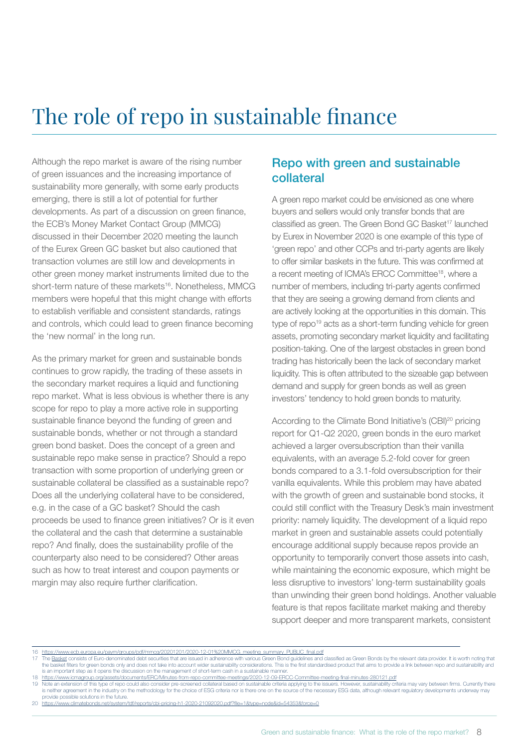## <span id="page-7-0"></span>The role of repo in sustainable finance

Although the repo market is aware of the rising number of green issuances and the increasing importance of sustainability more generally, with some early products emerging, there is still a lot of potential for further developments. As part of a discussion on green finance, the ECB's Money Market Contact Group (MMCG) discussed in their December 2020 meeting the launch of the Eurex Green GC basket but also cautioned that transaction volumes are still low and developments in other green money market instruments limited due to the short-term nature of these markets<sup>16</sup>. Nonetheless, MMCG members were hopeful that this might change with efforts to establish verifiable and consistent standards, ratings and controls, which could lead to green finance becoming the 'new normal' in the long run.

As the primary market for green and sustainable bonds continues to grow rapidly, the trading of these assets in the secondary market requires a liquid and functioning repo market. What is less obvious is whether there is any scope for repo to play a more active role in supporting sustainable finance beyond the funding of green and sustainable bonds, whether or not through a standard green bond basket. Does the concept of a green and sustainable repo make sense in practice? Should a repo transaction with some proportion of underlying green or sustainable collateral be classified as a sustainable repo? Does all the underlying collateral have to be considered, e.g. in the case of a GC basket? Should the cash proceeds be used to finance green initiatives? Or is it even the collateral and the cash that determine a sustainable repo? And finally, does the sustainability profile of the counterparty also need to be considered? Other areas such as how to treat interest and coupon payments or margin may also require further clarification.

### Repo with green and sustainable collateral

A green repo market could be envisioned as one where buyers and sellers would only transfer bonds that are classified as green. The Green Bond GC Basket<sup>17</sup> launched by Eurex in November 2020 is one example of this type of 'green repo' and other CCPs and tri-party agents are likely to offer similar baskets in the future. This was confirmed at a recent meeting of ICMA's ERCC Committee<sup>18</sup>, where a number of members, including tri-party agents confirmed that they are seeing a growing demand from clients and are actively looking at the opportunities in this domain. This type of repo<sup>19</sup> acts as a short-term funding vehicle for green assets, promoting secondary market liquidity and facilitating position-taking. One of the largest obstacles in green bond trading has historically been the lack of secondary market liquidity. This is often attributed to the sizeable gap between demand and supply for green bonds as well as green investors' tendency to hold green bonds to maturity.

According to the Climate Bond Initiative's (CBI)<sup>20</sup> pricing report for Q1-Q2 2020, green bonds in the euro market achieved a larger oversubscription than their vanilla equivalents, with an average 5.2-fold cover for green bonds compared to a 3.1-fold oversubscription for their vanilla equivalents. While this problem may have abated with the growth of green and sustainable bond stocks, it could still conflict with the Treasury Desk's main investment priority: namely liquidity. The development of a liquid repo market in green and sustainable assets could potentially encourage additional supply because repos provide an opportunity to temporarily convert those assets into cash, while maintaining the economic exposure, which might be less disruptive to investors' long-term sustainability goals than unwinding their green bond holdings. Another valuable feature is that repos facilitate market making and thereby support deeper and more transparent markets, consistent

16 https://www.ecb.europa.eu/paym/groups/pdf/mmcg/20201201/2020-12-01%20MMCG meeting summary PUBLIC final.pdf<br>17 The <u>Basket</u> consists of Euro-denominated debt securities that are issued in adherence with various Green Bon the basket filters for green bonds only and does not take into account wider sustainability considerations. This is the first standardised product that aims to provide a link between repo and sustainability and is an important step as it opens the discussion on the management of short-term cash in a sustainable manner

18 <https://www.icmagroup.org/assets/documents/ERC/Minutes-from-repo-committee-meetings/2020-12-09-ERCC-Committee-meeting-final-minutes-280121.pdf>

19 Note an extension of this type of repo could also consider pre-screened collateral based on sustainable criteria applying to the issuers. However, sustainability criteria may vary between firms. Currently there is neither agreement in the industry on the methodology for the choice of ESG criteria nor is there one on the source of the necessary ESG data, although relevant regulatory developments underway may provide possible solutions in the future.

20 https://www.climatebonds.net/system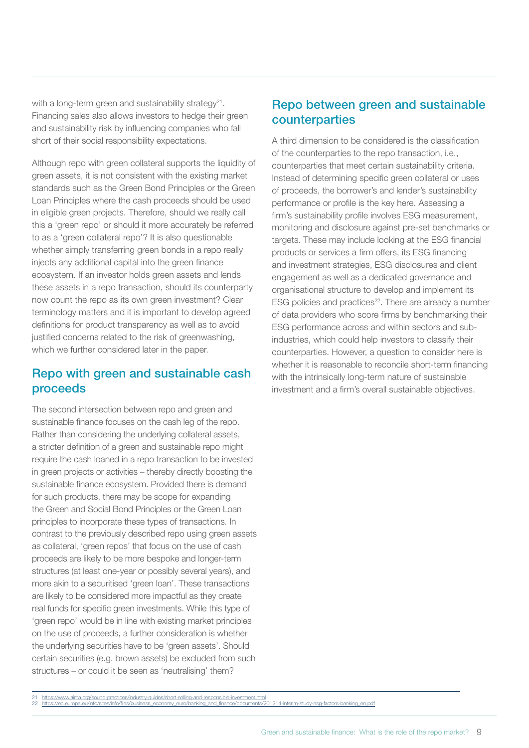<span id="page-8-0"></span>with a long-term green and sustainability strategy<sup>21</sup>. Financing sales also allows investors to hedge their green and sustainability risk by influencing companies who fall short of their social responsibility expectations.

Although repo with green collateral supports the liquidity of green assets, it is not consistent with the existing market standards such as the Green Bond Principles or the Green Loan Principles where the cash proceeds should be used in eligible green projects. Therefore, should we really call this a 'green repo' or should it more accurately be referred to as a 'green collateral repo'? It is also questionable whether simply transferring green bonds in a repo really injects any additional capital into the green finance ecosystem. If an investor holds green assets and lends these assets in a repo transaction, should its counterparty now count the repo as its own green investment? Clear terminology matters and it is important to develop agreed definitions for product transparency as well as to avoid justified concerns related to the risk of greenwashing, which we further considered later in the paper.

### Repo with green and sustainable cash proceeds

The second intersection between repo and green and sustainable finance focuses on the cash leg of the repo. Rather than considering the underlying collateral assets, a stricter definition of a green and sustainable repo might require the cash loaned in a repo transaction to be invested in green projects or activities – thereby directly boosting the sustainable finance ecosystem. Provided there is demand for such products, there may be scope for expanding the Green and Social Bond Principles or the Green Loan principles to incorporate these types of transactions. In contrast to the previously described repo using green assets as collateral, 'green repos' that focus on the use of cash proceeds are likely to be more bespoke and longer-term structures (at least one-year or possibly several years), and more akin to a securitised 'green loan'. These transactions are likely to be considered more impactful as they create real funds for specific green investments. While this type of 'green repo' would be in line with existing market principles on the use of proceeds, a further consideration is whether the underlying securities have to be 'green assets'. Should certain securities (e.g. brown assets) be excluded from such structures – or could it be seen as 'neutralising' them?

## Repo between green and sustainable counterparties

A third dimension to be considered is the classification of the counterparties to the repo transaction, i.e., counterparties that meet certain sustainability criteria. Instead of determining specific green collateral or uses of proceeds, the borrower's and lender's sustainability performance or profile is the key here. Assessing a firm's sustainability profile involves ESG measurement, monitoring and disclosure against pre-set benchmarks or targets. These may include looking at the ESG financial products or services a firm offers, its ESG financing and investment strategies, ESG disclosures and client engagement as well as a dedicated governance and organisational structure to develop and implement its ESG policies and practices<sup>22</sup>. There are already a number of data providers who score firms by benchmarking their ESG performance across and within sectors and subindustries, which could help investors to classify their counterparties. However, a question to consider here is whether it is reasonable to reconcile short-term financing with the intrinsically long-term nature of sustainable investment and a firm's overall sustainable objectives.

<sup>21</sup> <https://www.aima.org/sound-practices/industry-guides/short-selling-and-responsible-investment.html><br>22 https://ec.europa.eu/info/sites/info/files/business economy euro/banking and finance/documents/201214-interim-study-e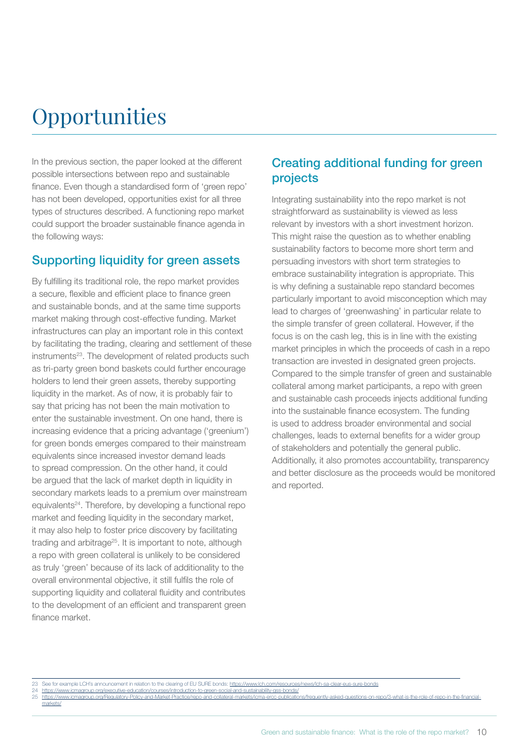## <span id="page-9-0"></span>**Opportunities**

In the previous section, the paper looked at the different possible intersections between repo and sustainable finance. Even though a standardised form of 'green repo' has not been developed, opportunities exist for all three types of structures described. A functioning repo market could support the broader sustainable finance agenda in the following ways:

### Supporting liquidity for green assets

By fulfilling its traditional role, the repo market provides a secure, flexible and efficient place to finance green and sustainable bonds, and at the same time supports market making through cost-effective funding. Market infrastructures can play an important role in this context by facilitating the trading, clearing and settlement of these instruments<sup>23</sup>. The development of related products such as tri-party green bond baskets could further encourage holders to lend their green assets, thereby supporting liquidity in the market. As of now, it is probably fair to say that pricing has not been the main motivation to enter the sustainable investment. On one hand, there is increasing evidence that a pricing advantage ('greenium') for green bonds emerges compared to their mainstream equivalents since increased investor demand leads to spread compression. On the other hand, it could be argued that the lack of market depth in liquidity in secondary markets leads to a premium over mainstream equivalents24. Therefore, by developing a functional repo market and feeding liquidity in the secondary market, it may also help to foster price discovery by facilitating trading and arbitrage<sup>25</sup>. It is important to note, although a repo with green collateral is unlikely to be considered as truly 'green' because of its lack of additionality to the overall environmental objective, it still fulfils the role of supporting liquidity and collateral fluidity and contributes to the development of an efficient and transparent green finance market.

## Creating additional funding for green projects

Integrating sustainability into the repo market is not straightforward as sustainability is viewed as less relevant by investors with a short investment horizon. This might raise the question as to whether enabling sustainability factors to become more short term and persuading investors with short term strategies to embrace sustainability integration is appropriate. This is why defining a sustainable repo standard becomes particularly important to avoid misconception which may lead to charges of 'greenwashing' in particular relate to the simple transfer of green collateral. However, if the focus is on the cash leg, this is in line with the existing market principles in which the proceeds of cash in a repo transaction are invested in designated green projects. Compared to the simple transfer of green and sustainable collateral among market participants, a repo with green and sustainable cash proceeds injects additional funding into the sustainable finance ecosystem. The funding is used to address broader environmental and social challenges, leads to external benefits for a wider group of stakeholders and potentially the general public. Additionally, it also promotes accountability, transparency and better disclosure as the proceeds would be monitored and reported.

- https://www.icmagroup.org
- 25 [https://www.icmagroup.org/Regulatory-Policy-and-Market-Practice/repo-and-collateral-markets/icma-ercc-publications/frequently-asked-questions-on-repo/3-what-is-the-role-of-repo-in-the-financial](https://www.icmagroup.org/Regulatory-Policy-and-Market-Practice/repo-and-collateral-markets/icma-ercc-publications/frequently-asked-questions-on-repo/3-what-is-the-role-of-repo-in-the-financial-markets/)[markets/](https://www.icmagroup.org/Regulatory-Policy-and-Market-Practice/repo-and-collateral-markets/icma-ercc-publications/frequently-asked-questions-on-repo/3-what-is-the-role-of-repo-in-the-financial-markets/)

<sup>23</sup> See for example LCH's announcement in relation to the clearing of EU SURE bonds: <https://www.lch.com/resources/news/lch-sa-clear-eus-sure-bonds>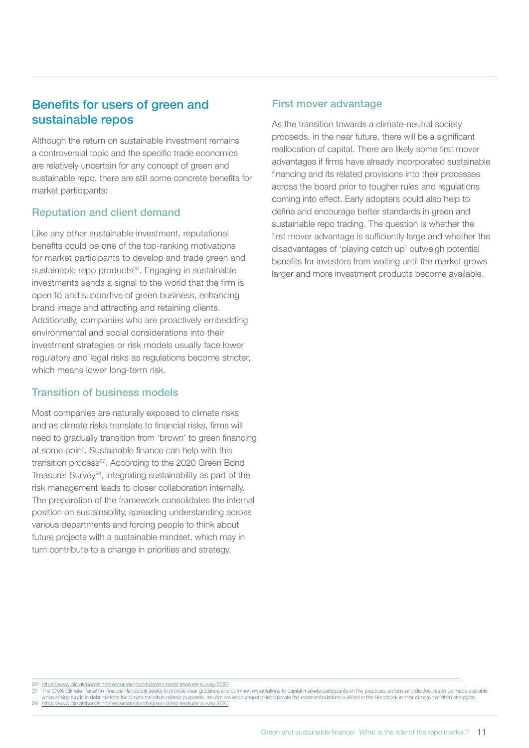## Benefits for users of green and sustainable repos

Although the return on sustainable investment remains a controversial topic and the specific trade economics are relatively uncertain for any concept of green and sustainable repo, there are still some concrete benefits for market participants:

#### Reputation and client demand

Like any other sustainable investment, reputational benefits could be one of the top-ranking motivations for market participants to develop and trade green and sustainable repo products<sup>26</sup>. Engaging in sustainable investments sends a signal to the world that the firm is open to and supportive of green business, enhancing brand image and attracting and retaining clients. Additionally, companies who are proactively embedding environmental and social considerations into their investment strategies or risk models usually face lower regulatory and legal risks as regulations become stricter, which means lower long-term risk.

#### Transition of business models

Most companies are naturally exposed to climate risks and as climate risks translate to financial risks, firms will need to gradually transition from 'brown' to green financing at some point. Sustainable finance can help with this transition process<sup>27</sup>. According to the 2020 Green Bond Treasurer Survey28, integrating sustainability as part of the risk management leads to closer collaboration internally. The preparation of the framework consolidates the internal position on sustainability, spreading understanding across various departments and forcing people to think about future projects with a sustainable mindset, which may in turn contribute to a change in priorities and strategy.

#### First mover advantage

As the transition towards a climate-neutral society proceeds, in the near future, there will be a significant reallocation of capital. There are likely some first mover advantages if firms have already incorporated sustainable financing and its related provisions into their processes across the board prior to tougher rules and regulations coming into effect. Early adopters could also help to define and encourage better standards in green and sustainable repo trading. The question is whether the first mover advantage is sufficiently large and whether the disadvantages of 'playing catch up' outweigh potential benefits for investors from waiting until the market grows larger and more investment products become available.

26 <https://www.climatebonds.net/resources/reports/green-bond-treasurer-survey-2020><br>27 The ICMA Climate Transition Finance Handbook seeks to provide clear guidance and common expectations to capital markets participants on when raising funds in debt markets for climate transition-related purposes. Issuers are encouraged to incorporate the recommendations outlined in the Handbook in their climate transition strategies 28 <https://www.climatebonds.net/resources/reports/green-bond-treasurer-survey-2020>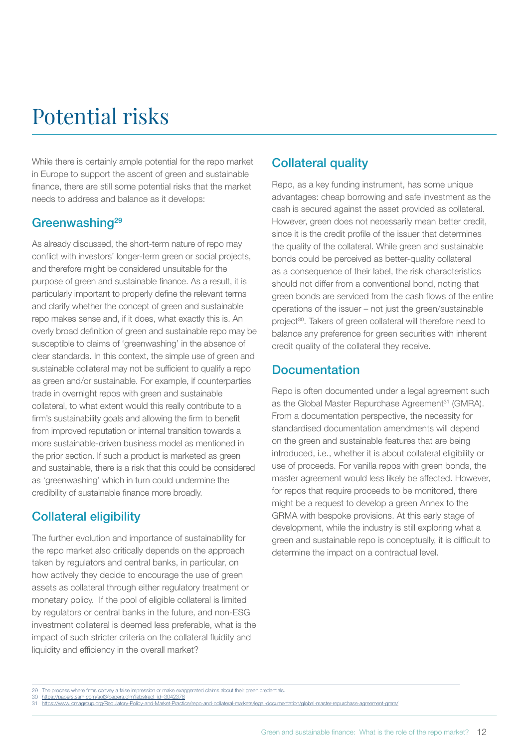## <span id="page-11-0"></span>Potential risks

While there is certainly ample potential for the repo market in Europe to support the ascent of green and sustainable finance, there are still some potential risks that the market needs to address and balance as it develops:

### Greenwashing<sup>29</sup>

As already discussed, the short-term nature of repo may conflict with investors' longer-term green or social projects, and therefore might be considered unsuitable for the purpose of green and sustainable finance. As a result, it is particularly important to properly define the relevant terms and clarify whether the concept of green and sustainable repo makes sense and, if it does, what exactly this is. An overly broad definition of green and sustainable repo may be susceptible to claims of 'greenwashing' in the absence of clear standards. In this context, the simple use of green and sustainable collateral may not be sufficient to qualify a repo as green and/or sustainable. For example, if counterparties trade in overnight repos with green and sustainable collateral, to what extent would this really contribute to a firm's sustainability goals and allowing the firm to benefit from improved reputation or internal transition towards a more sustainable-driven business model as mentioned in the prior section. If such a product is marketed as green and sustainable, there is a risk that this could be considered as 'greenwashing' which in turn could undermine the credibility of sustainable finance more broadly.

## Collateral eligibility

The further evolution and importance of sustainability for the repo market also critically depends on the approach taken by regulators and central banks, in particular, on how actively they decide to encourage the use of green assets as collateral through either regulatory treatment or monetary policy. If the pool of eligible collateral is limited by regulators or central banks in the future, and non-ESG investment collateral is deemed less preferable, what is the impact of such stricter criteria on the collateral fluidity and liquidity and efficiency in the overall market?

## Collateral quality

Repo, as a key funding instrument, has some unique advantages: cheap borrowing and safe investment as the cash is secured against the asset provided as collateral. However, green does not necessarily mean better credit, since it is the credit profile of the issuer that determines the quality of the collateral. While green and sustainable bonds could be perceived as better-quality collateral as a consequence of their label, the risk characteristics should not differ from a conventional bond, noting that green bonds are serviced from the cash flows of the entire operations of the issuer – not just the green/sustainable project<sup>30</sup>. Takers of green collateral will therefore need to balance any preference for green securities with inherent credit quality of the collateral they receive.

### Documentation

Repo is often documented under a legal agreement such as the Global Master Repurchase Agreement<sup>31</sup> (GMRA). From a documentation perspective, the necessity for standardised documentation amendments will depend on the green and sustainable features that are being introduced, i.e., whether it is about collateral eligibility or use of proceeds. For vanilla repos with green bonds, the master agreement would less likely be affected. However, for repos that require proceeds to be monitored, there might be a request to develop a green Annex to the GRMA with bespoke provisions. At this early stage of development, while the industry is still exploring what a green and sustainable repo is conceptually, it is difficult to determine the impact on a contractual level.

<sup>29</sup> The process where firms convey a false impression or make exaggerated claims about their green credentials.<br>30 https://papers.ssm.com/sol3/papers.cfm?abstract\_id=3042378

<sup>30</sup> https://papers.ssm.com/sol3/papers.cfm?abstract\_id=3042378<br>31 <https://www.icmagroup.org/Regulatory-Policy-and-Market-Practice/repo-and-collateral-markets/legal-documentation/global-master-repurchase-agreement-gmra/>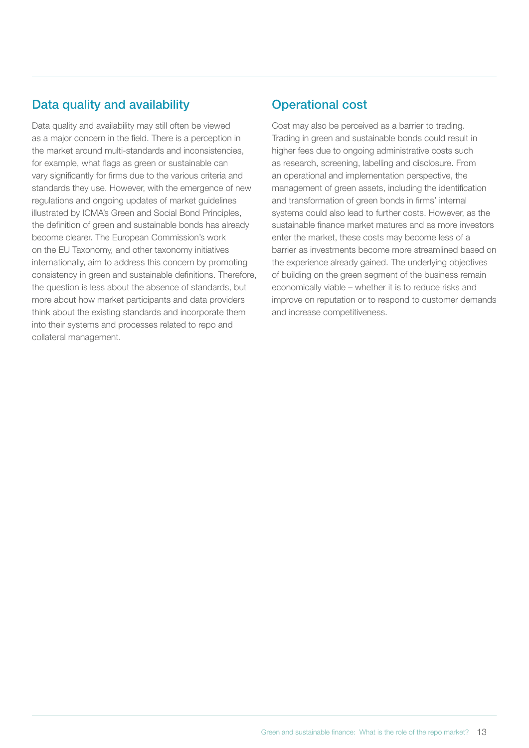## <span id="page-12-0"></span>Data quality and availability

Data quality and availability may still often be viewed as a major concern in the field. There is a perception in the market around multi-standards and inconsistencies, for example, what flags as green or sustainable can vary significantly for firms due to the various criteria and standards they use. However, with the emergence of new regulations and ongoing updates of market guidelines illustrated by ICMA's Green and Social Bond Principles, the definition of green and sustainable bonds has already become clearer. The European Commission's work on the EU Taxonomy, and other taxonomy initiatives internationally, aim to address this concern by promoting consistency in green and sustainable definitions. Therefore, the question is less about the absence of standards, but more about how market participants and data providers think about the existing standards and incorporate them into their systems and processes related to repo and collateral management.

## Operational cost

Cost may also be perceived as a barrier to trading. Trading in green and sustainable bonds could result in higher fees due to ongoing administrative costs such as research, screening, labelling and disclosure. From an operational and implementation perspective, the management of green assets, including the identification and transformation of green bonds in firms' internal systems could also lead to further costs. However, as the sustainable finance market matures and as more investors enter the market, these costs may become less of a barrier as investments become more streamlined based on the experience already gained. The underlying objectives of building on the green segment of the business remain economically viable – whether it is to reduce risks and improve on reputation or to respond to customer demands and increase competitiveness.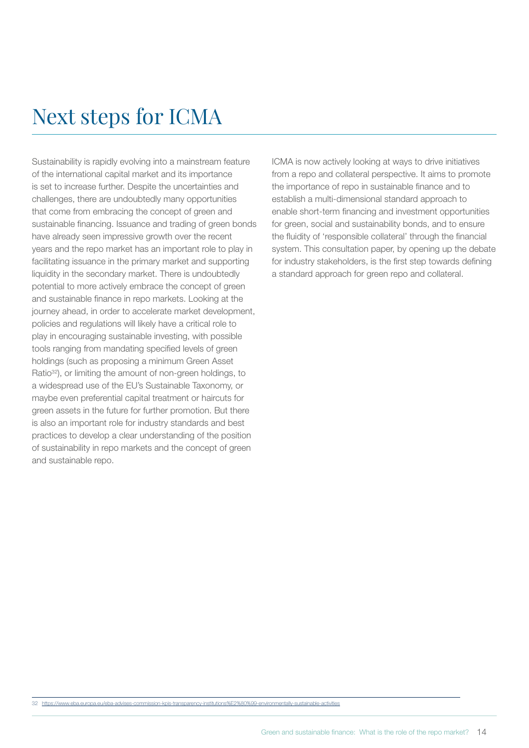## <span id="page-13-0"></span>Next steps for ICMA

Sustainability is rapidly evolving into a mainstream feature of the international capital market and its importance is set to increase further. Despite the uncertainties and challenges, there are undoubtedly many opportunities that come from embracing the concept of green and sustainable financing. Issuance and trading of green bonds have already seen impressive growth over the recent years and the repo market has an important role to play in facilitating issuance in the primary market and supporting liquidity in the secondary market. There is undoubtedly potential to more actively embrace the concept of green and sustainable finance in repo markets. Looking at the journey ahead, in order to accelerate market development, policies and regulations will likely have a critical role to play in encouraging sustainable investing, with possible tools ranging from mandating specified levels of green holdings (such as proposing a minimum Green Asset Ratio32), or limiting the amount of non-green holdings, to a widespread use of the EU's Sustainable Taxonomy, or maybe even preferential capital treatment or haircuts for green assets in the future for further promotion. But there is also an important role for industry standards and best practices to develop a clear understanding of the position of sustainability in repo markets and the concept of green and sustainable repo.

ICMA is now actively looking at ways to drive initiatives from a repo and collateral perspective. It aims to promote the importance of repo in sustainable finance and to establish a multi-dimensional standard approach to enable short-term financing and investment opportunities for green, social and sustainability bonds, and to ensure the fluidity of 'responsible collateral' through the financial system. This consultation paper, by opening up the debate for industry stakeholders, is the first step towards defining a standard approach for green repo and collateral.

32 <https://www.eba.europa.eu/eba-advises-commission-kpis-transparency-institutions%E2%80%99-environmentally-sustainable-activities>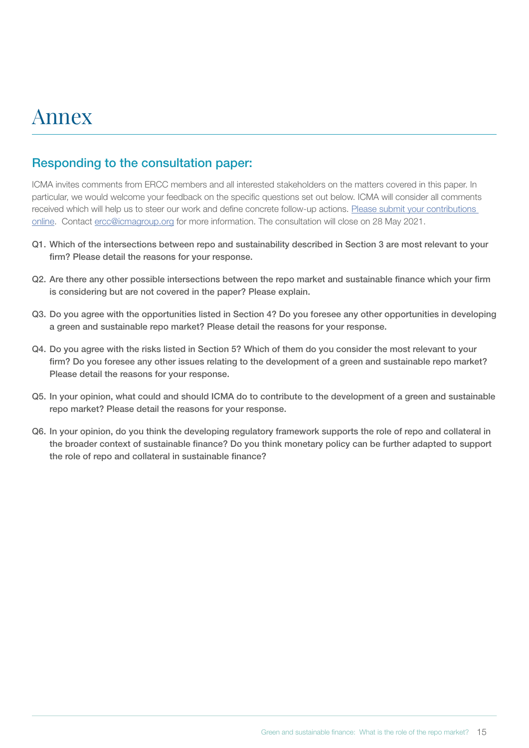## <span id="page-14-0"></span>Annex

### Responding to the consultation paper:

ICMA invites comments from ERCC members and all interested stakeholders on the matters covered in this paper. In particular, we would welcome your feedback on the specific questions set out below. ICMA will consider all comments received which will help us to steer our work and define concrete follow-up actions. [Please submit your contributions](https://www.icmagroup.org/Regulatory-Policy-and-Market-Practice/repo-and-collateral-markets/icma-ercc-publications/icma-ercc-reports/green-and-sustainable-finance-what-is-the-role-of-the-repo-market)  [online](https://www.icmagroup.org/Regulatory-Policy-and-Market-Practice/repo-and-collateral-markets/icma-ercc-publications/icma-ercc-reports/green-and-sustainable-finance-what-is-the-role-of-the-repo-market). Contact ercc@icmagroup.org for more information. The consultation will close on 28 May 2021.

- Q1. Which of the intersections between repo and sustainability described in Section 3 are most relevant to your firm? Please detail the reasons for your response.
- Q2. Are there any other possible intersections between the repo market and sustainable finance which your firm is considering but are not covered in the paper? Please explain.
- Q3. Do you agree with the opportunities listed in Section 4? Do you foresee any other opportunities in developing a green and sustainable repo market? Please detail the reasons for your response.
- Q4. Do you agree with the risks listed in Section 5? Which of them do you consider the most relevant to your firm? Do you foresee any other issues relating to the development of a green and sustainable repo market? Please detail the reasons for your response.
- Q5. In your opinion, what could and should ICMA do to contribute to the development of a green and sustainable repo market? Please detail the reasons for your response.
- Q6. In your opinion, do you think the developing regulatory framework supports the role of repo and collateral in the broader context of sustainable finance? Do you think monetary policy can be further adapted to support the role of repo and collateral in sustainable finance?